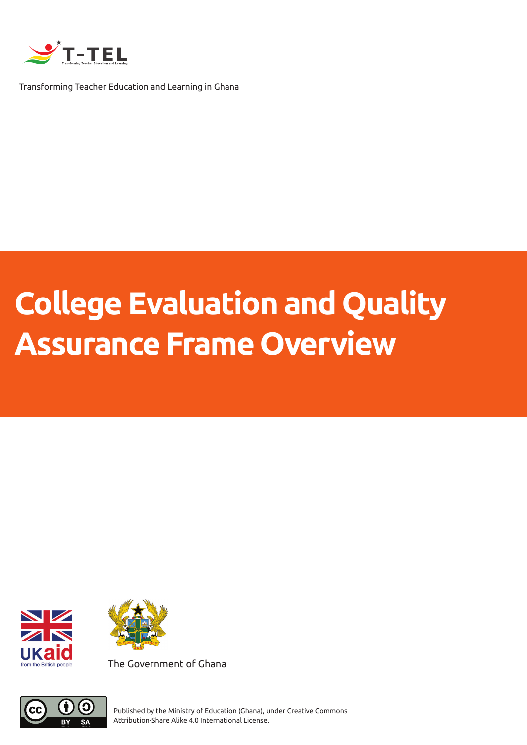

Transforming Teacher Education and Learning in Ghana

# **College Evaluation and Quality Assurance Frame Overview**





The Government of Ghana



Published by the Ministry of Education (Ghana), under Creative Commons Attribution-Share Alike 4.0 International License.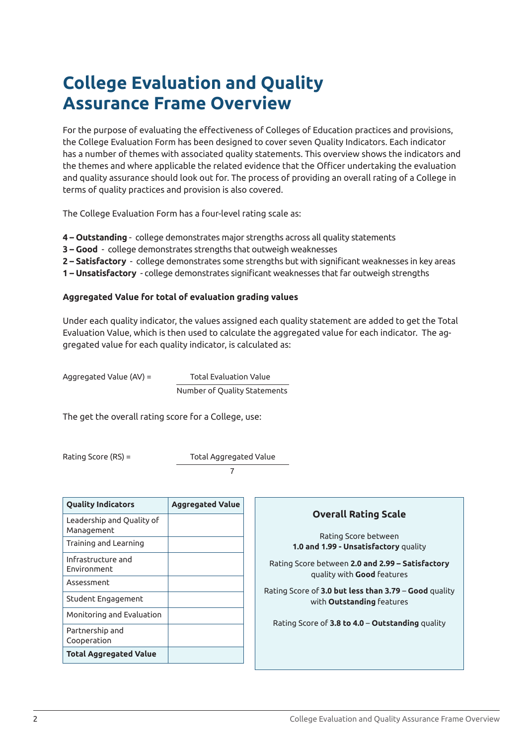## **College Evaluation and Quality Assurance Frame Overview**

For the purpose of evaluating the effectiveness of Colleges of Education practices and provisions, the College Evaluation Form has been designed to cover seven Quality Indicators. Each indicator has a number of themes with associated quality statements. This overview shows the indicators and the themes and where applicable the related evidence that the Officer undertaking the evaluation and quality assurance should look out for. The process of providing an overall rating of a College in terms of quality practices and provision is also covered.

The College Evaluation Form has a four-level rating scale as:

- **4 Outstanding**  college demonstrates major strengths across all quality statements
- **3 Good**  college demonstrates strengths that outweigh weaknesses
- **2 Satisfactory** college demonstrates some strengths but with significant weaknesses in key areas
- **1 Unsatisfactory** college demonstrates significant weaknesses that far outweigh strengths

#### **Aggregated Value for total of evaluation grading values**

Under each quality indicator, the values assigned each quality statement are added to get the Total Evaluation Value, which is then used to calculate the aggregated value for each indicator. The aggregated value for each quality indicator, is calculated as:

Aggregated Value (AV) = Total Evaluation Value Number of Quality Statements

The get the overall rating score for a College, use:

Rating Score (RS) = Total Aggregated Value

7

| <b>Quality Indicators</b>               | <b>Aggregated Value</b> |
|-----------------------------------------|-------------------------|
| Leadership and Quality of<br>Management |                         |
| Training and Learning                   |                         |
| Infrastructure and<br>Environment       |                         |
| Assessment                              |                         |
| Student Engagement                      |                         |
| Monitoring and Evaluation               |                         |
| Partnership and<br>Cooperation          |                         |
| <b>Total Aggregated Value</b>           |                         |

#### **Overall Rating Scale**

Rating Score between **1.0 and 1.99 - Unsatisfactory** quality

Rating Score between **2.0 and 2.99 – Satisfactory** quality with **Good** features

Rating Score of **3.0 but less than 3.79** – **Good** quality with **Outstanding** features

Rating Score of **3.8 to 4.0** – **Outstanding** quality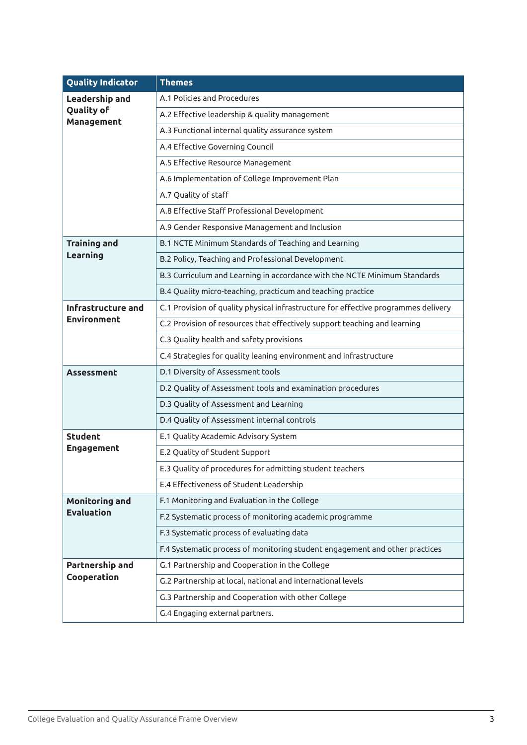| <b>Quality Indicator</b>        | <b>Themes</b>                                                                      |
|---------------------------------|------------------------------------------------------------------------------------|
| <b>Leadership and</b>           | A.1 Policies and Procedures                                                        |
| <b>Quality of</b><br>Management | A.2 Effective leadership & quality management                                      |
|                                 | A.3 Functional internal quality assurance system                                   |
|                                 | A.4 Effective Governing Council                                                    |
|                                 | A.5 Effective Resource Management                                                  |
|                                 | A.6 Implementation of College Improvement Plan                                     |
|                                 | A.7 Quality of staff                                                               |
|                                 | A.8 Effective Staff Professional Development                                       |
|                                 | A.9 Gender Responsive Management and Inclusion                                     |
| <b>Training and</b>             | B.1 NCTE Minimum Standards of Teaching and Learning                                |
| Learning                        | B.2 Policy, Teaching and Professional Development                                  |
|                                 | B.3 Curriculum and Learning in accordance with the NCTE Minimum Standards          |
|                                 | B.4 Quality micro-teaching, practicum and teaching practice                        |
| Infrastructure and              | C.1 Provision of quality physical infrastructure for effective programmes delivery |
| <b>Environment</b>              | C.2 Provision of resources that effectively support teaching and learning          |
|                                 | C.3 Quality health and safety provisions                                           |
|                                 | C.4 Strategies for quality leaning environment and infrastructure                  |
| <b>Assessment</b>               | D.1 Diversity of Assessment tools                                                  |
|                                 | D.2 Quality of Assessment tools and examination procedures                         |
|                                 | D.3 Quality of Assessment and Learning                                             |
|                                 | D.4 Quality of Assessment internal controls                                        |
| <b>Student</b>                  | E.1 Quality Academic Advisory System                                               |
| Engagement                      | E.2 Quality of Student Support                                                     |
|                                 | E.3 Quality of procedures for admitting student teachers                           |
|                                 | E.4 Effectiveness of Student Leadership                                            |
| <b>Monitoring and</b>           | F.1 Monitoring and Evaluation in the College                                       |
| <b>Evaluation</b>               | F.2 Systematic process of monitoring academic programme                            |
|                                 | F.3 Systematic process of evaluating data                                          |
|                                 | F.4 Systematic process of monitoring student engagement and other practices        |
| Partnership and                 | G.1 Partnership and Cooperation in the College                                     |
| Cooperation                     | G.2 Partnership at local, national and international levels                        |
|                                 | G.3 Partnership and Cooperation with other College                                 |
|                                 | G.4 Engaging external partners.                                                    |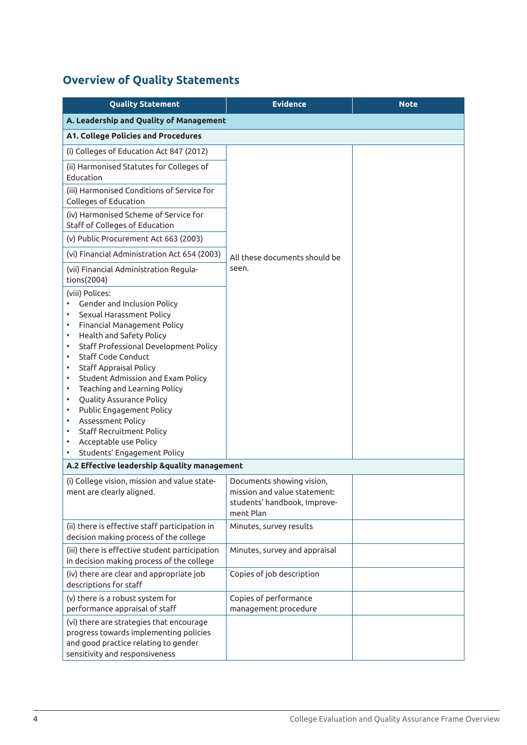### **Overview of Quality Statements**

| <b>Quality Statement</b>                                                                                                                                                                                                                                                                                                                                                                                                                                                                                                                                                                                                                                                              | <b>Evidence</b>                                                                           | <b>Note</b> |
|---------------------------------------------------------------------------------------------------------------------------------------------------------------------------------------------------------------------------------------------------------------------------------------------------------------------------------------------------------------------------------------------------------------------------------------------------------------------------------------------------------------------------------------------------------------------------------------------------------------------------------------------------------------------------------------|-------------------------------------------------------------------------------------------|-------------|
| A. Leadership and Quality of Management                                                                                                                                                                                                                                                                                                                                                                                                                                                                                                                                                                                                                                               |                                                                                           |             |
| <b>A1. College Policies and Procedures</b>                                                                                                                                                                                                                                                                                                                                                                                                                                                                                                                                                                                                                                            |                                                                                           |             |
| (i) Colleges of Education Act 847 (2012)                                                                                                                                                                                                                                                                                                                                                                                                                                                                                                                                                                                                                                              |                                                                                           |             |
| (ii) Harmonised Statutes for Colleges of<br>Education                                                                                                                                                                                                                                                                                                                                                                                                                                                                                                                                                                                                                                 |                                                                                           |             |
| (iii) Harmonised Conditions of Service for<br>Colleges of Education                                                                                                                                                                                                                                                                                                                                                                                                                                                                                                                                                                                                                   |                                                                                           |             |
| (iv) Harmonised Scheme of Service for<br>Staff of Colleges of Education                                                                                                                                                                                                                                                                                                                                                                                                                                                                                                                                                                                                               |                                                                                           |             |
| (v) Public Procurement Act 663 (2003)                                                                                                                                                                                                                                                                                                                                                                                                                                                                                                                                                                                                                                                 |                                                                                           |             |
| (vi) Financial Administration Act 654 (2003)                                                                                                                                                                                                                                                                                                                                                                                                                                                                                                                                                                                                                                          | All these documents should be                                                             |             |
| (vii) Financial Administration Regula-<br>tions(2004)                                                                                                                                                                                                                                                                                                                                                                                                                                                                                                                                                                                                                                 | seen.                                                                                     |             |
| (viii) Polices:<br>Gender and Inclusion Policy<br>۰<br>Sexual Harassment Policy<br>٠<br>Financial Management Policy<br>٠<br>Health and Safety Policy<br>٠<br>Staff Professional Development Policy<br>٠<br>Staff Code Conduct<br>٠<br><b>Staff Appraisal Policy</b><br>٠<br>Student Admission and Exam Policy<br>٠<br>Teaching and Learning Policy<br>٠<br>Quality Assurance Policy<br>٠<br>Public Engagement Policy<br>٠<br>Assessment Policy<br>٠<br><b>Staff Recruitment Policy</b><br>٠<br>Acceptable use Policy<br>٠<br>Students' Engagement Policy<br>A.2 Effective leadership &quality management<br>(i) College vision, mission and value state-<br>ment are clearly aligned. | Documents showing vision,<br>mission and value statement:<br>students' handbook, Improve- |             |
| (ii) there is effective staff participation in                                                                                                                                                                                                                                                                                                                                                                                                                                                                                                                                                                                                                                        | ment Plan<br>Minutes, survey results                                                      |             |
| decision making process of the college<br>(iii) there is effective student participation<br>in decision making process of the college                                                                                                                                                                                                                                                                                                                                                                                                                                                                                                                                                 | Minutes, survey and appraisal                                                             |             |
| (iv) there are clear and appropriate job<br>descriptions for staff                                                                                                                                                                                                                                                                                                                                                                                                                                                                                                                                                                                                                    | Copies of job description                                                                 |             |
| (v) there is a robust system for<br>performance appraisal of staff                                                                                                                                                                                                                                                                                                                                                                                                                                                                                                                                                                                                                    | Copies of performance<br>management procedure                                             |             |
| (vi) there are strategies that encourage<br>progress towards implementing policies<br>and good practice relating to gender<br>sensitivity and responsiveness                                                                                                                                                                                                                                                                                                                                                                                                                                                                                                                          |                                                                                           |             |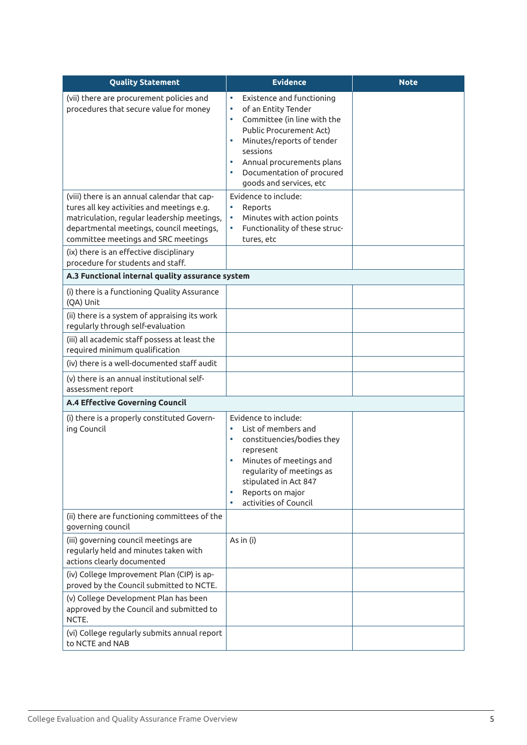| <b>Quality Statement</b>                                                                                                                                                                                                     | <b>Evidence</b>                                                                                                                                                                                                                                                                                                               | <b>Note</b> |
|------------------------------------------------------------------------------------------------------------------------------------------------------------------------------------------------------------------------------|-------------------------------------------------------------------------------------------------------------------------------------------------------------------------------------------------------------------------------------------------------------------------------------------------------------------------------|-------------|
| (vii) there are procurement policies and<br>procedures that secure value for money                                                                                                                                           | Existence and functioning<br>$\bullet$<br>of an Entity Tender<br>$\bullet$<br>Committee (in line with the<br>$\bullet$<br><b>Public Procurement Act)</b><br>Minutes/reports of tender<br>$\bullet$<br>sessions<br>Annual procurements plans<br>$\bullet$<br>Documentation of procured<br>$\bullet$<br>goods and services, etc |             |
| (viii) there is an annual calendar that cap-<br>tures all key activities and meetings e.g.<br>matriculation, regular leadership meetings,<br>departmental meetings, council meetings,<br>committee meetings and SRC meetings | Evidence to include:<br>Reports<br>Minutes with action points<br>Functionality of these struc-<br>tures, etc                                                                                                                                                                                                                  |             |
| (ix) there is an effective disciplinary<br>procedure for students and staff.                                                                                                                                                 |                                                                                                                                                                                                                                                                                                                               |             |
| A.3 Functional internal quality assurance system                                                                                                                                                                             |                                                                                                                                                                                                                                                                                                                               |             |
| (i) there is a functioning Quality Assurance<br>(QA) Unit                                                                                                                                                                    |                                                                                                                                                                                                                                                                                                                               |             |
| (ii) there is a system of appraising its work<br>regularly through self-evaluation                                                                                                                                           |                                                                                                                                                                                                                                                                                                                               |             |
| (iii) all academic staff possess at least the<br>required minimum qualification                                                                                                                                              |                                                                                                                                                                                                                                                                                                                               |             |
| (iv) there is a well-documented staff audit                                                                                                                                                                                  |                                                                                                                                                                                                                                                                                                                               |             |
| (v) there is an annual institutional self-<br>assessment report                                                                                                                                                              |                                                                                                                                                                                                                                                                                                                               |             |
| <b>A.4 Effective Governing Council</b>                                                                                                                                                                                       |                                                                                                                                                                                                                                                                                                                               |             |
| (i) there is a properly constituted Govern-<br>ing Council                                                                                                                                                                   | Evidence to include:<br>List of members and<br>$\bullet$<br>constituencies/bodies they<br>$\bullet$<br>represent<br>Minutes of meetings and<br>regularity of meetings as<br>stipulated in Act 847<br>Reports on major<br>activities of Council                                                                                |             |
| (ii) there are functioning committees of the<br>governing council                                                                                                                                                            |                                                                                                                                                                                                                                                                                                                               |             |
| (iii) governing council meetings are<br>regularly held and minutes taken with<br>actions clearly documented                                                                                                                  | As in (i)                                                                                                                                                                                                                                                                                                                     |             |
| (iv) College Improvement Plan (CIP) is ap-<br>proved by the Council submitted to NCTE.                                                                                                                                       |                                                                                                                                                                                                                                                                                                                               |             |
| (v) College Development Plan has been<br>approved by the Council and submitted to<br>NCTE.                                                                                                                                   |                                                                                                                                                                                                                                                                                                                               |             |
| (vi) College regularly submits annual report<br>to NCTE and NAB                                                                                                                                                              |                                                                                                                                                                                                                                                                                                                               |             |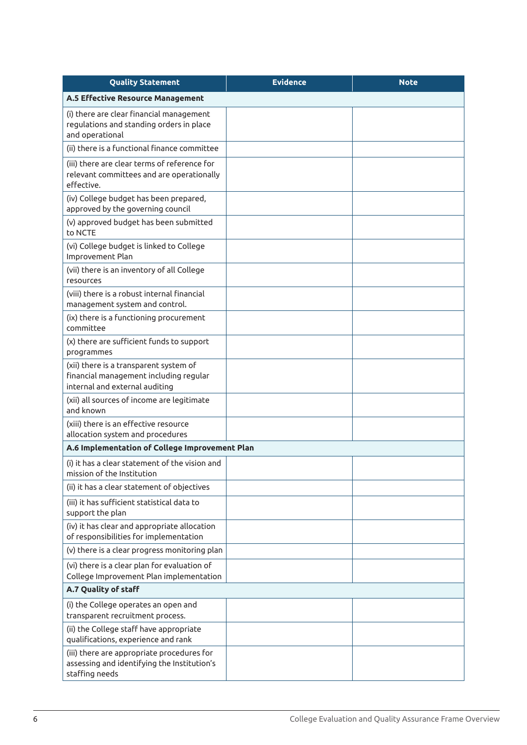| <b>Quality Statement</b>                                                                                           | <b>Evidence</b> | <b>Note</b> |
|--------------------------------------------------------------------------------------------------------------------|-----------------|-------------|
| A.5 Effective Resource Management                                                                                  |                 |             |
| (i) there are clear financial management<br>regulations and standing orders in place<br>and operational            |                 |             |
| (ii) there is a functional finance committee                                                                       |                 |             |
| (iii) there are clear terms of reference for<br>relevant committees and are operationally<br>effective.            |                 |             |
| (iv) College budget has been prepared,<br>approved by the governing council                                        |                 |             |
| (v) approved budget has been submitted<br>to NCTE                                                                  |                 |             |
| (vi) College budget is linked to College<br>Improvement Plan                                                       |                 |             |
| (vii) there is an inventory of all College<br>resources                                                            |                 |             |
| (viii) there is a robust internal financial<br>management system and control.                                      |                 |             |
| (ix) there is a functioning procurement<br>committee                                                               |                 |             |
| (x) there are sufficient funds to support<br>programmes                                                            |                 |             |
| (xii) there is a transparent system of<br>financial management including regular<br>internal and external auditing |                 |             |
| (xii) all sources of income are legitimate<br>and known                                                            |                 |             |
| (xiii) there is an effective resource<br>allocation system and procedures                                          |                 |             |
| A.6 Implementation of College Improvement Plan                                                                     |                 |             |
| (i) it has a clear statement of the vision and<br>mission of the Institution                                       |                 |             |
| (ii) it has a clear statement of objectives                                                                        |                 |             |
| (iii) it has sufficient statistical data to<br>support the plan                                                    |                 |             |
| (iv) it has clear and appropriate allocation<br>of responsibilities for implementation                             |                 |             |
| (v) there is a clear progress monitoring plan                                                                      |                 |             |
| (vi) there is a clear plan for evaluation of<br>College Improvement Plan implementation                            |                 |             |
| A.7 Quality of staff                                                                                               |                 |             |
| (i) the College operates an open and<br>transparent recruitment process.                                           |                 |             |
| (ii) the College staff have appropriate<br>qualifications, experience and rank                                     |                 |             |
| (iii) there are appropriate procedures for<br>assessing and identifying the Institution's<br>staffing needs        |                 |             |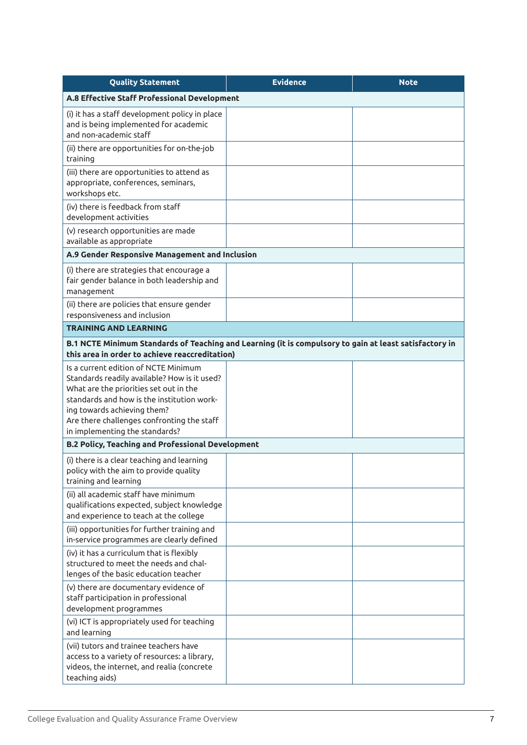| <b>Quality Statement</b>                                                                                                                                                                                                                                                                    | <b>Evidence</b> | <b>Note</b> |
|---------------------------------------------------------------------------------------------------------------------------------------------------------------------------------------------------------------------------------------------------------------------------------------------|-----------------|-------------|
| A.8 Effective Staff Professional Development                                                                                                                                                                                                                                                |                 |             |
| (i) it has a staff development policy in place<br>and is being implemented for academic<br>and non-academic staff                                                                                                                                                                           |                 |             |
| (ii) there are opportunities for on-the-job<br>training                                                                                                                                                                                                                                     |                 |             |
| (iii) there are opportunities to attend as<br>appropriate, conferences, seminars,<br>workshops etc.                                                                                                                                                                                         |                 |             |
| (iv) there is feedback from staff<br>development activities                                                                                                                                                                                                                                 |                 |             |
| (v) research opportunities are made<br>available as appropriate                                                                                                                                                                                                                             |                 |             |
| A.9 Gender Responsive Management and Inclusion                                                                                                                                                                                                                                              |                 |             |
| (i) there are strategies that encourage a<br>fair gender balance in both leadership and<br>management                                                                                                                                                                                       |                 |             |
| (ii) there are policies that ensure gender<br>responsiveness and inclusion                                                                                                                                                                                                                  |                 |             |
| <b>TRAINING AND LEARNING</b>                                                                                                                                                                                                                                                                |                 |             |
| B.1 NCTE Minimum Standards of Teaching and Learning (it is compulsory to gain at least satisfactory in<br>this area in order to achieve reaccreditation)                                                                                                                                    |                 |             |
| Is a current edition of NCTE Minimum<br>Standards readily available? How is it used?<br>What are the priorities set out in the<br>standards and how is the institution work-<br>ing towards achieving them?<br>Are there challenges confronting the staff<br>in implementing the standards? |                 |             |
| <b>B.2 Policy, Teaching and Professional Development</b>                                                                                                                                                                                                                                    |                 |             |
| (i) there is a clear teaching and learning<br>policy with the aim to provide quality<br>training and learning                                                                                                                                                                               |                 |             |
| (ii) all academic staff have minimum<br>qualifications expected, subject knowledge<br>and experience to teach at the college                                                                                                                                                                |                 |             |
| (iii) opportunities for further training and<br>in-service programmes are clearly defined                                                                                                                                                                                                   |                 |             |
| (iv) it has a curriculum that is flexibly<br>structured to meet the needs and chal-<br>lenges of the basic education teacher                                                                                                                                                                |                 |             |
| (v) there are documentary evidence of<br>staff participation in professional<br>development programmes                                                                                                                                                                                      |                 |             |
| (vi) ICT is appropriately used for teaching<br>and learning                                                                                                                                                                                                                                 |                 |             |
| (vii) tutors and trainee teachers have<br>access to a variety of resources: a library,<br>videos, the internet, and realia (concrete<br>teaching aids)                                                                                                                                      |                 |             |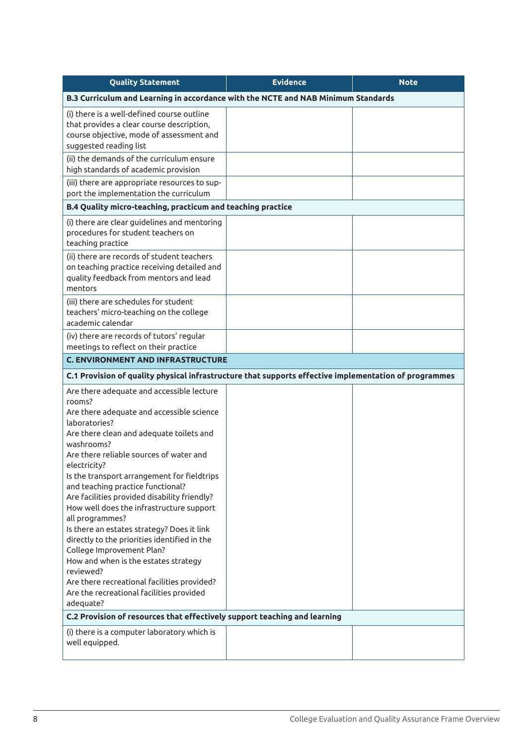| <b>Quality Statement</b>                                                                                                                                                                                                                                                                                                                                                                                                                                                                                                                                                                                                                                                                                                          | <b>Evidence</b> | <b>Note</b> |
|-----------------------------------------------------------------------------------------------------------------------------------------------------------------------------------------------------------------------------------------------------------------------------------------------------------------------------------------------------------------------------------------------------------------------------------------------------------------------------------------------------------------------------------------------------------------------------------------------------------------------------------------------------------------------------------------------------------------------------------|-----------------|-------------|
| B.3 Curriculum and Learning in accordance with the NCTE and NAB Minimum Standards                                                                                                                                                                                                                                                                                                                                                                                                                                                                                                                                                                                                                                                 |                 |             |
| (i) there is a well-defined course outline<br>that provides a clear course description,<br>course objective, mode of assessment and<br>suggested reading list                                                                                                                                                                                                                                                                                                                                                                                                                                                                                                                                                                     |                 |             |
| (ii) the demands of the curriculum ensure<br>high standards of academic provision                                                                                                                                                                                                                                                                                                                                                                                                                                                                                                                                                                                                                                                 |                 |             |
| (iii) there are appropriate resources to sup-<br>port the implementation the curriculum                                                                                                                                                                                                                                                                                                                                                                                                                                                                                                                                                                                                                                           |                 |             |
| B.4 Quality micro-teaching, practicum and teaching practice                                                                                                                                                                                                                                                                                                                                                                                                                                                                                                                                                                                                                                                                       |                 |             |
| (i) there are clear guidelines and mentoring<br>procedures for student teachers on<br>teaching practice                                                                                                                                                                                                                                                                                                                                                                                                                                                                                                                                                                                                                           |                 |             |
| (ii) there are records of student teachers<br>on teaching practice receiving detailed and<br>quality feedback from mentors and lead<br>mentors                                                                                                                                                                                                                                                                                                                                                                                                                                                                                                                                                                                    |                 |             |
| (iii) there are schedules for student<br>teachers' micro-teaching on the college<br>academic calendar                                                                                                                                                                                                                                                                                                                                                                                                                                                                                                                                                                                                                             |                 |             |
| (iv) there are records of tutors' regular<br>meetings to reflect on their practice                                                                                                                                                                                                                                                                                                                                                                                                                                                                                                                                                                                                                                                |                 |             |
| <b>C. ENVIRONMENT AND INFRASTRUCTURE</b>                                                                                                                                                                                                                                                                                                                                                                                                                                                                                                                                                                                                                                                                                          |                 |             |
| C.1 Provision of quality physical infrastructure that supports effective implementation of programmes                                                                                                                                                                                                                                                                                                                                                                                                                                                                                                                                                                                                                             |                 |             |
| Are there adequate and accessible lecture<br>rooms?<br>Are there adequate and accessible science<br>laboratories?<br>Are there clean and adequate toilets and<br>washrooms?<br>Are there reliable sources of water and<br>electricity?<br>Is the transport arrangement for fieldtrips<br>and teaching practice functional?<br>Are facilities provided disability friendly?<br>How well does the infrastructure support<br>all programmes?<br>Is there an estates strategy? Does it link<br>directly to the priorities identified in the<br>College Improvement Plan?<br>How and when is the estates strategy<br>reviewed?<br>Are there recreational facilities provided?<br>Are the recreational facilities provided<br>adequate? |                 |             |
| C.2 Provision of resources that effectively support teaching and learning                                                                                                                                                                                                                                                                                                                                                                                                                                                                                                                                                                                                                                                         |                 |             |
| (i) there is a computer laboratory which is<br>well equipped.                                                                                                                                                                                                                                                                                                                                                                                                                                                                                                                                                                                                                                                                     |                 |             |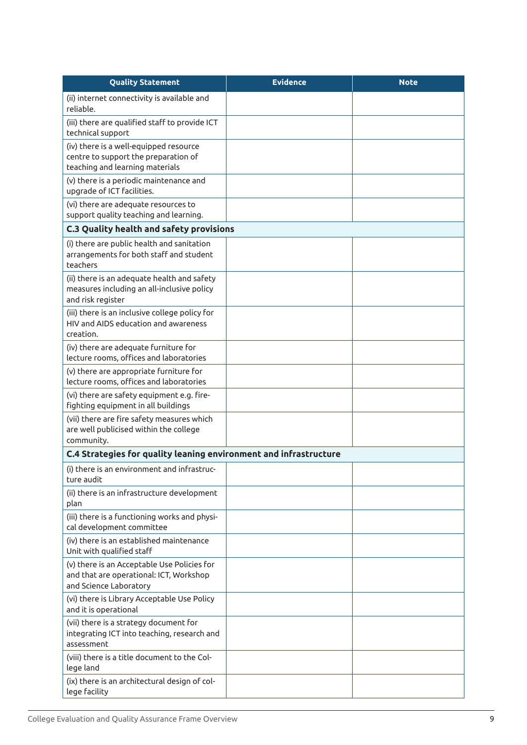| <b>Quality Statement</b>                                                                                          | <b>Evidence</b> | <b>Note</b> |
|-------------------------------------------------------------------------------------------------------------------|-----------------|-------------|
| (ii) internet connectivity is available and<br>reliable.                                                          |                 |             |
| (iii) there are qualified staff to provide ICT<br>technical support                                               |                 |             |
| (iv) there is a well-equipped resource<br>centre to support the preparation of<br>teaching and learning materials |                 |             |
| (v) there is a periodic maintenance and<br>upgrade of ICT facilities.                                             |                 |             |
| (vi) there are adequate resources to<br>support quality teaching and learning.                                    |                 |             |
| C.3 Quality health and safety provisions                                                                          |                 |             |
| (i) there are public health and sanitation<br>arrangements for both staff and student<br>teachers                 |                 |             |
| (ii) there is an adequate health and safety<br>measures including an all-inclusive policy<br>and risk register    |                 |             |
| (iii) there is an inclusive college policy for<br>HIV and AIDS education and awareness<br>creation.               |                 |             |
| (iv) there are adequate furniture for<br>lecture rooms, offices and laboratories                                  |                 |             |
| (v) there are appropriate furniture for<br>lecture rooms, offices and laboratories                                |                 |             |
| (vi) there are safety equipment e.g. fire-<br>fighting equipment in all buildings                                 |                 |             |
| (vii) there are fire safety measures which<br>are well publicised within the college<br>community.                |                 |             |
| C.4 Strategies for quality leaning environment and infrastructure                                                 |                 |             |
| (i) there is an environment and infrastruc-<br>ture audit                                                         |                 |             |
| (ii) there is an infrastructure development<br>plan                                                               |                 |             |
| (iii) there is a functioning works and physi-<br>cal development committee                                        |                 |             |
| (iv) there is an established maintenance<br>Unit with qualified staff                                             |                 |             |
| (v) there is an Acceptable Use Policies for<br>and that are operational: ICT, Workshop<br>and Science Laboratory  |                 |             |
| (vi) there is Library Acceptable Use Policy<br>and it is operational                                              |                 |             |
| (vii) there is a strategy document for<br>integrating ICT into teaching, research and<br>assessment               |                 |             |
| (viii) there is a title document to the Col-<br>lege land                                                         |                 |             |
| (ix) there is an architectural design of col-<br>lege facility                                                    |                 |             |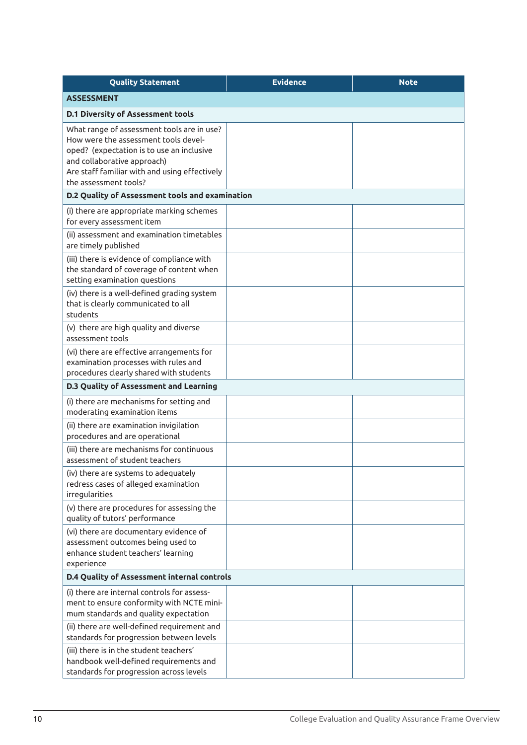| <b>Quality Statement</b>                                                                                                                                                                                                                 | <b>Evidence</b> | <b>Note</b> |
|------------------------------------------------------------------------------------------------------------------------------------------------------------------------------------------------------------------------------------------|-----------------|-------------|
| <b>ASSESSMENT</b>                                                                                                                                                                                                                        |                 |             |
| <b>D.1 Diversity of Assessment tools</b>                                                                                                                                                                                                 |                 |             |
| What range of assessment tools are in use?<br>How were the assessment tools devel-<br>oped? (expectation is to use an inclusive<br>and collaborative approach)<br>Are staff familiar with and using effectively<br>the assessment tools? |                 |             |
| D.2 Quality of Assessment tools and examination                                                                                                                                                                                          |                 |             |
| (i) there are appropriate marking schemes<br>for every assessment item                                                                                                                                                                   |                 |             |
| (ii) assessment and examination timetables<br>are timely published                                                                                                                                                                       |                 |             |
| (iii) there is evidence of compliance with<br>the standard of coverage of content when<br>setting examination questions                                                                                                                  |                 |             |
| (iv) there is a well-defined grading system<br>that is clearly communicated to all<br>students                                                                                                                                           |                 |             |
| (v) there are high quality and diverse<br>assessment tools                                                                                                                                                                               |                 |             |
| (vi) there are effective arrangements for<br>examination processes with rules and<br>procedures clearly shared with students                                                                                                             |                 |             |
| D.3 Quality of Assessment and Learning                                                                                                                                                                                                   |                 |             |
| (i) there are mechanisms for setting and<br>moderating examination items                                                                                                                                                                 |                 |             |
| (ii) there are examination invigilation<br>procedures and are operational                                                                                                                                                                |                 |             |
| (iii) there are mechanisms for continuous<br>assessment of student teachers                                                                                                                                                              |                 |             |
| (iv) there are systems to adequately<br>redress cases of alleged examination<br>irregularities                                                                                                                                           |                 |             |
| (v) there are procedures for assessing the<br>quality of tutors' performance                                                                                                                                                             |                 |             |
| (vi) there are documentary evidence of<br>assessment outcomes being used to<br>enhance student teachers' learning<br>experience                                                                                                          |                 |             |
| D.4 Quality of Assessment internal controls                                                                                                                                                                                              |                 |             |
| (i) there are internal controls for assess-<br>ment to ensure conformity with NCTE mini-<br>mum standards and quality expectation                                                                                                        |                 |             |
| (ii) there are well-defined requirement and<br>standards for progression between levels                                                                                                                                                  |                 |             |
| (iii) there is in the student teachers'<br>handbook well-defined requirements and<br>standards for progression across levels                                                                                                             |                 |             |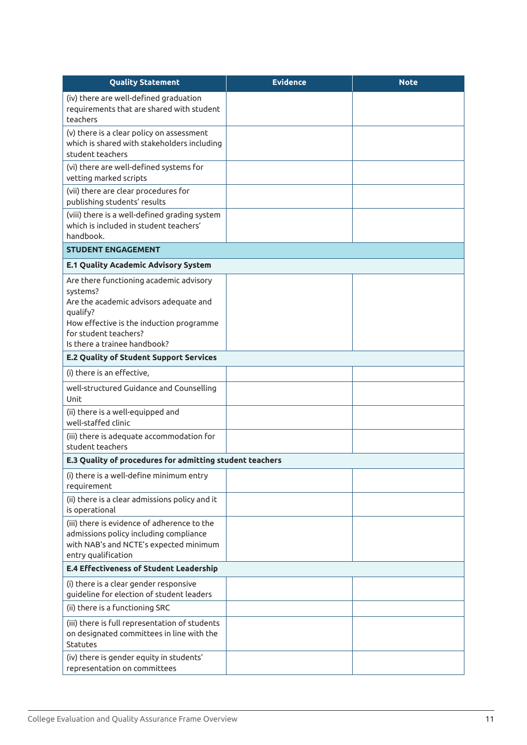| <b>Quality Statement</b>                                                                                                                                                       | <b>Evidence</b> | <b>Note</b> |
|--------------------------------------------------------------------------------------------------------------------------------------------------------------------------------|-----------------|-------------|
| (iv) there are well-defined graduation<br>requirements that are shared with student<br>teachers                                                                                |                 |             |
| (v) there is a clear policy on assessment<br>which is shared with stakeholders including<br>student teachers                                                                   |                 |             |
| (vi) there are well-defined systems for<br>vetting marked scripts                                                                                                              |                 |             |
| (vii) there are clear procedures for<br>publishing students' results                                                                                                           |                 |             |
| (viii) there is a well-defined grading system<br>which is included in student teachers'<br>handbook.                                                                           |                 |             |
| <b>STUDENT ENGAGEMENT</b>                                                                                                                                                      |                 |             |
| <b>E.1 Quality Academic Advisory System</b>                                                                                                                                    |                 |             |
| Are there functioning academic advisory<br>systems?<br>Are the academic advisors adequate and<br>qualify?<br>How effective is the induction programme<br>for student teachers? |                 |             |
| Is there a trainee handbook?                                                                                                                                                   |                 |             |
| <b>E.2 Quality of Student Support Services</b>                                                                                                                                 |                 |             |
| (i) there is an effective,                                                                                                                                                     |                 |             |
| well-structured Guidance and Counselling<br>Unit                                                                                                                               |                 |             |
| (ii) there is a well-equipped and<br>well-staffed clinic                                                                                                                       |                 |             |
| (iii) there is adequate accommodation for<br>student teachers                                                                                                                  |                 |             |
| E.3 Quality of procedures for admitting student teachers                                                                                                                       |                 |             |
| (i) there is a well-define minimum entry<br>requirement                                                                                                                        |                 |             |
| (ii) there is a clear admissions policy and it<br>is operational                                                                                                               |                 |             |
| (iii) there is evidence of adherence to the<br>admissions policy including compliance<br>with NAB's and NCTE's expected minimum<br>entry qualification                         |                 |             |
| <b>E.4 Effectiveness of Student Leadership</b>                                                                                                                                 |                 |             |
| (i) there is a clear gender responsive<br>guideline for election of student leaders                                                                                            |                 |             |
| (ii) there is a functioning SRC                                                                                                                                                |                 |             |
| (iii) there is full representation of students<br>on designated committees in line with the<br><b>Statutes</b>                                                                 |                 |             |
| (iv) there is gender equity in students'<br>representation on committees                                                                                                       |                 |             |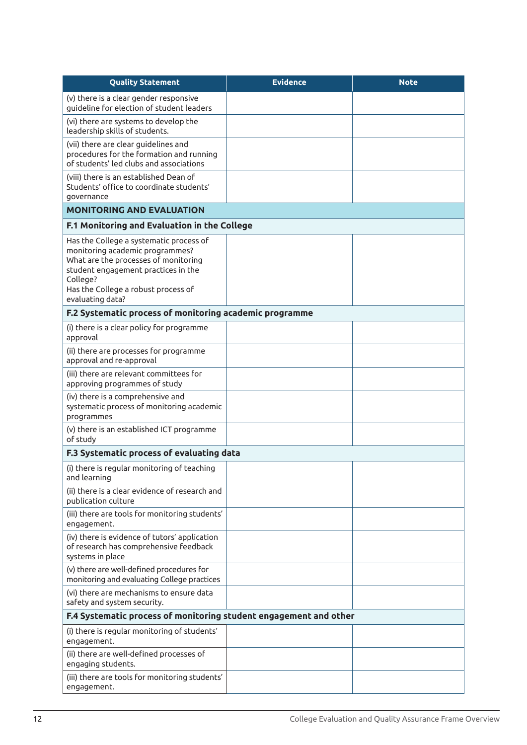| <b>Quality Statement</b>                                                                                                                                                                                                         | <b>Evidence</b> | <b>Note</b> |
|----------------------------------------------------------------------------------------------------------------------------------------------------------------------------------------------------------------------------------|-----------------|-------------|
| (v) there is a clear gender responsive<br>quideline for election of student leaders                                                                                                                                              |                 |             |
| (vi) there are systems to develop the<br>leadership skills of students.                                                                                                                                                          |                 |             |
| (vii) there are clear guidelines and<br>procedures for the formation and running<br>of students' led clubs and associations                                                                                                      |                 |             |
| (viii) there is an established Dean of<br>Students' office to coordinate students'<br>governance                                                                                                                                 |                 |             |
| <b>MONITORING AND EVALUATION</b>                                                                                                                                                                                                 |                 |             |
| F.1 Monitoring and Evaluation in the College                                                                                                                                                                                     |                 |             |
| Has the College a systematic process of<br>monitoring academic programmes?<br>What are the processes of monitoring<br>student engagement practices in the<br>College?<br>Has the College a robust process of<br>evaluating data? |                 |             |
| F.2 Systematic process of monitoring academic programme                                                                                                                                                                          |                 |             |
| (i) there is a clear policy for programme<br>approval                                                                                                                                                                            |                 |             |
| (ii) there are processes for programme<br>approval and re-approval                                                                                                                                                               |                 |             |
| (iii) there are relevant committees for<br>approving programmes of study                                                                                                                                                         |                 |             |
| (iv) there is a comprehensive and<br>systematic process of monitoring academic<br>programmes                                                                                                                                     |                 |             |
| (v) there is an established ICT programme<br>of study                                                                                                                                                                            |                 |             |
| F.3 Systematic process of evaluating data                                                                                                                                                                                        |                 |             |
| (i) there is regular monitoring of teaching<br>and learning                                                                                                                                                                      |                 |             |
| (ii) there is a clear evidence of research and<br>publication culture                                                                                                                                                            |                 |             |
| (iii) there are tools for monitoring students'<br>engagement.                                                                                                                                                                    |                 |             |
| (iv) there is evidence of tutors' application<br>of research has comprehensive feedback<br>systems in place                                                                                                                      |                 |             |
| (v) there are well-defined procedures for<br>monitoring and evaluating College practices                                                                                                                                         |                 |             |
| (vi) there are mechanisms to ensure data<br>safety and system security.                                                                                                                                                          |                 |             |
| F.4 Systematic process of monitoring student engagement and other                                                                                                                                                                |                 |             |
| (i) there is regular monitoring of students'<br>engagement.                                                                                                                                                                      |                 |             |
| (ii) there are well-defined processes of<br>engaging students.                                                                                                                                                                   |                 |             |
| (iii) there are tools for monitoring students'<br>engagement.                                                                                                                                                                    |                 |             |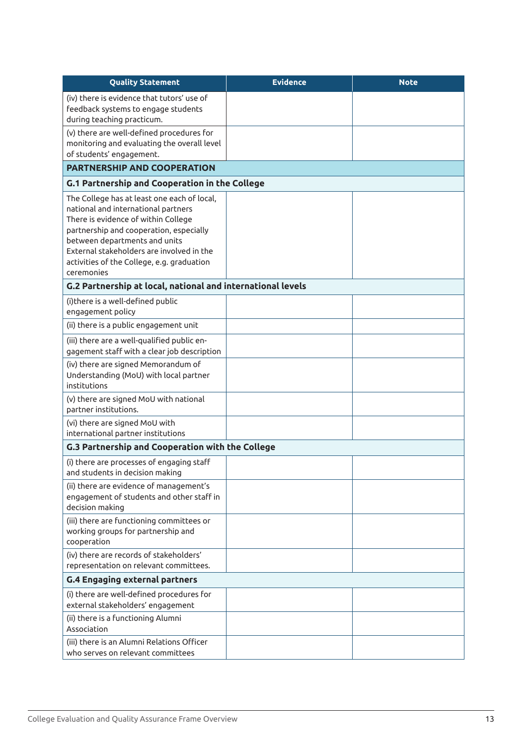| <b>Quality Statement</b>                                                                                                                                                                                                                                                                                       | <b>Evidence</b> | <b>Note</b> |
|----------------------------------------------------------------------------------------------------------------------------------------------------------------------------------------------------------------------------------------------------------------------------------------------------------------|-----------------|-------------|
| (iv) there is evidence that tutors' use of<br>feedback systems to engage students<br>during teaching practicum.                                                                                                                                                                                                |                 |             |
| (v) there are well-defined procedures for<br>monitoring and evaluating the overall level<br>of students' engagement.                                                                                                                                                                                           |                 |             |
| <b>PARTNERSHIP AND COOPERATION</b>                                                                                                                                                                                                                                                                             |                 |             |
| <b>G.1 Partnership and Cooperation in the College</b>                                                                                                                                                                                                                                                          |                 |             |
| The College has at least one each of local,<br>national and international partners<br>There is evidence of within College<br>partnership and cooperation, especially<br>between departments and units<br>External stakeholders are involved in the<br>activities of the College, e.g. graduation<br>ceremonies |                 |             |
| G.2 Partnership at local, national and international levels                                                                                                                                                                                                                                                    |                 |             |
| (i) there is a well-defined public<br>engagement policy<br>(ii) there is a public engagement unit                                                                                                                                                                                                              |                 |             |
| (iii) there are a well-qualified public en-<br>gagement staff with a clear job description                                                                                                                                                                                                                     |                 |             |
| (iv) there are signed Memorandum of<br>Understanding (MoU) with local partner<br>institutions                                                                                                                                                                                                                  |                 |             |
| (v) there are signed MoU with national<br>partner institutions.                                                                                                                                                                                                                                                |                 |             |
| (vi) there are signed MoU with<br>international partner institutions                                                                                                                                                                                                                                           |                 |             |
| G.3 Partnership and Cooperation with the College                                                                                                                                                                                                                                                               |                 |             |
| (i) there are processes of engaging staff<br>and students in decision making                                                                                                                                                                                                                                   |                 |             |
| (ii) there are evidence of management's<br>engagement of students and other staff in<br>decision making                                                                                                                                                                                                        |                 |             |
| (iii) there are functioning committees or<br>working groups for partnership and<br>cooperation                                                                                                                                                                                                                 |                 |             |
| (iv) there are records of stakeholders'<br>representation on relevant committees.                                                                                                                                                                                                                              |                 |             |
| <b>G.4 Engaging external partners</b>                                                                                                                                                                                                                                                                          |                 |             |
| (i) there are well-defined procedures for<br>external stakeholders' engagement                                                                                                                                                                                                                                 |                 |             |
| (ii) there is a functioning Alumni<br>Association                                                                                                                                                                                                                                                              |                 |             |
| (iii) there is an Alumni Relations Officer<br>who serves on relevant committees                                                                                                                                                                                                                                |                 |             |